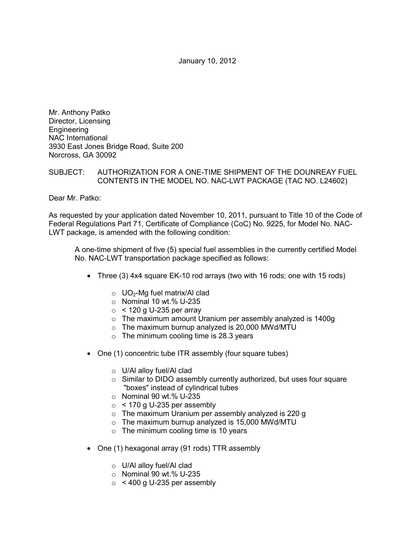January 10, 2012

Mr. Anthony Patko Director, Licensing Engineering NAC International 3930 East Jones Bridge Road, Suite 200 Norcross, GA 30092

## SUBJECT: AUTHORIZATION FOR A ONE-TIME SHIPMENT OF THE DOUNREAY FUEL CONTENTS IN THE MODEL NO. NAC-LWT PACKAGE (TAC NO. L24602)

Dear Mr. Patko:

As requested by your application dated November 10, 2011, pursuant to Title 10 of the Code of Federal Regulations Part 71, Certificate of Compliance (CoC) No. 9225, for Model No. NAC-LWT package, is amended with the following condition:

A one-time shipment of five (5) special fuel assemblies in the currently certified Model No. NAC-LWT transportation package specified as follows:

- Three (3) 4x4 square EK-10 rod arrays (two with 16 rods; one with 15 rods)
	- $\circ$  UO<sub>2</sub>-Mg fuel matrix/Al clad
	- $\circ$  Nominal 10 wt.% U-235
	- $\circ$  < 120 g U-235 per array
	- o The maximum amount Uranium per assembly analyzed is 1400g
	- $\circ$  The maximum burnup analyzed is 20,000 MWd/MTU
	- $\circ$  The minimum cooling time is 28.3 years
- One (1) concentric tube ITR assembly (four square tubes)
	- o U/Al alloy fuel/Al clad
	- o Similar to DIDO assembly currently authorized, but uses four square "boxes" instead of cylindrical tubes
	- $\circ$  Nominal 90 wt.% U-235
	- $\circ$  < 170 g U-235 per assembly
	- o The maximum Uranium per assembly analyzed is 220 g
	- $\circ$  The maximum burnup analyzed is 15,000 MWd/MTU
	- $\circ$  The minimum cooling time is 10 years
- One (1) hexagonal array (91 rods) TTR assembly
	- o U/Al alloy fuel/Al clad
	- o Nominal 90 wt.% U-235
	- $\circ$  < 400 g U-235 per assembly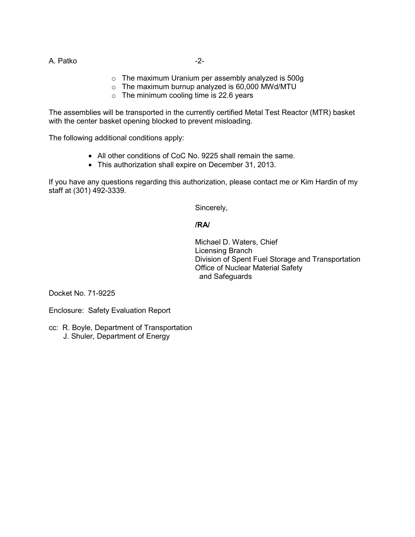A. Patko  $-2$ -

- o The maximum Uranium per assembly analyzed is 500g
- $\circ$  The maximum burnup analyzed is 60,000 MWd/MTU
- $\circ$  The minimum cooling time is 22.6 years

The assemblies will be transported in the currently certified Metal Test Reactor (MTR) basket with the center basket opening blocked to prevent misloading.

The following additional conditions apply:

- All other conditions of CoC No. 9225 shall remain the same.
- This authorization shall expire on December 31, 2013.

If you have any questions regarding this authorization, please contact me or Kim Hardin of my staff at (301) 492-3339.

Sincerely,

### **/RA/**

 Michael D. Waters, Chief Licensing Branch Division of Spent Fuel Storage and Transportation Office of Nuclear Material Safety and Safeguards

Docket No. 71-9225

Enclosure: Safety Evaluation Report

cc: R. Boyle, Department of Transportation J. Shuler, Department of Energy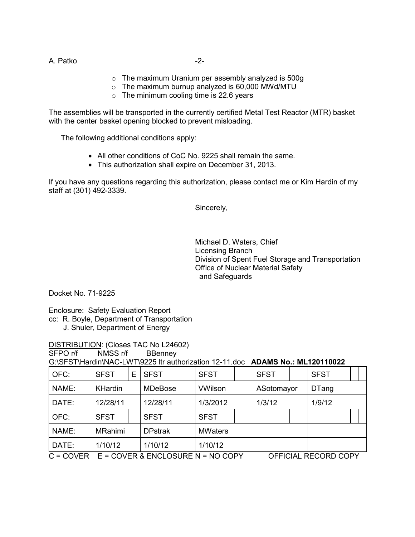A. Patko -2-

- o The maximum Uranium per assembly analyzed is 500g
- $\circ$  The maximum burnup analyzed is 60,000 MWd/MTU
- $\circ$  The minimum cooling time is 22.6 years

The assemblies will be transported in the currently certified Metal Test Reactor (MTR) basket with the center basket opening blocked to prevent misloading.

The following additional conditions apply:

- All other conditions of CoC No. 9225 shall remain the same.
- This authorization shall expire on December 31, 2013.

If you have any questions regarding this authorization, please contact me or Kim Hardin of my staff at (301) 492-3339.

Sincerely,

 Michael D. Waters, Chief Licensing Branch Division of Spent Fuel Storage and Transportation Office of Nuclear Material Safety and Safeguards

Docket No. 71-9225

Enclosure: Safety Evaluation Report

- cc: R. Boyle, Department of Transportation
	- J. Shuler, Department of Energy

DISTRIBUTION: (Closes TAC No L24602)

SFPO r/f NMSS r/f BBenney

G:\SFST\Hardin\NAC-LWT\9225 ltr authorization 12-11.doc **ADAMS No.: ML120110022**

| OFC:                                                 | <b>SFST</b>    | E | <b>SFST</b>    |  | <b>SFST</b>    |  | <b>SFST</b>          |  | <b>SFST</b>  |  |  |
|------------------------------------------------------|----------------|---|----------------|--|----------------|--|----------------------|--|--------------|--|--|
| NAME:                                                | KHardin        |   | <b>MDeBose</b> |  | <b>VWilson</b> |  | ASotomayor           |  | <b>DTang</b> |  |  |
| DATE:                                                | 12/28/11       |   | 12/28/11       |  | 1/3/2012       |  | 1/3/12               |  | 1/9/12       |  |  |
| OFC:                                                 | <b>SFST</b>    |   | <b>SFST</b>    |  | <b>SFST</b>    |  |                      |  |              |  |  |
| NAME:                                                | <b>MRahimi</b> |   | <b>DPstrak</b> |  | <b>MWaters</b> |  |                      |  |              |  |  |
| DATE:                                                | 1/10/12        |   | 1/10/12        |  | 1/10/12        |  |                      |  |              |  |  |
| $C = COVER$<br>$E = COVER$ & $ENCLOSURE$ N = NO COPY |                |   |                |  |                |  | OFFICIAL RECORD COPY |  |              |  |  |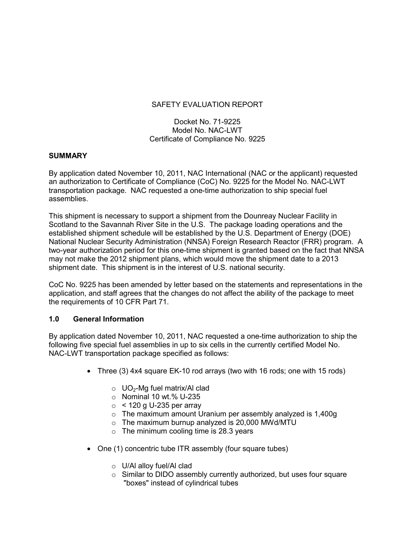# SAFETY EVALUATION REPORT

Docket No. 71-9225 Model No. NAC-LWT Certificate of Compliance No. 9225

#### **SUMMARY**

By application dated November 10, 2011, NAC International (NAC or the applicant) requested an authorization to Certificate of Compliance (CoC) No. 9225 for the Model No. NAC-LWT transportation package. NAC requested a one-time authorization to ship special fuel assemblies.

This shipment is necessary to support a shipment from the Dounreay Nuclear Facility in Scotland to the Savannah River Site in the U.S. The package loading operations and the established shipment schedule will be established by the U.S. Department of Energy (DOE) National Nuclear Security Administration (NNSA) Foreign Research Reactor (FRR) program. A two-year authorization period for this one-time shipment is granted based on the fact that NNSA may not make the 2012 shipment plans, which would move the shipment date to a 2013 shipment date. This shipment is in the interest of U.S. national security.

CoC No. 9225 has been amended by letter based on the statements and representations in the application, and staff agrees that the changes do not affect the ability of the package to meet the requirements of 10 CFR Part 71.

## **1.0 General Information**

By application dated November 10, 2011, NAC requested a one-time authorization to ship the following five special fuel assemblies in up to six cells in the currently certified Model No. NAC-LWT transportation package specified as follows:

- Three (3) 4x4 square EK-10 rod arrays (two with 16 rods; one with 15 rods)
	- $\circ$  UO<sub>2</sub>-Mg fuel matrix/Al clad
	- $\circ$  Nominal 10 wt.% U-235
	- $\circ$  < 120 g U-235 per array
	- o The maximum amount Uranium per assembly analyzed is 1,400g
	- $\circ$  The maximum burnup analyzed is 20,000 MWd/MTU
	- $\circ$  The minimum cooling time is 28.3 years
- One (1) concentric tube ITR assembly (four square tubes)
	- o U/Al alloy fuel/Al clad
	- o Similar to DIDO assembly currently authorized, but uses four square "boxes" instead of cylindrical tubes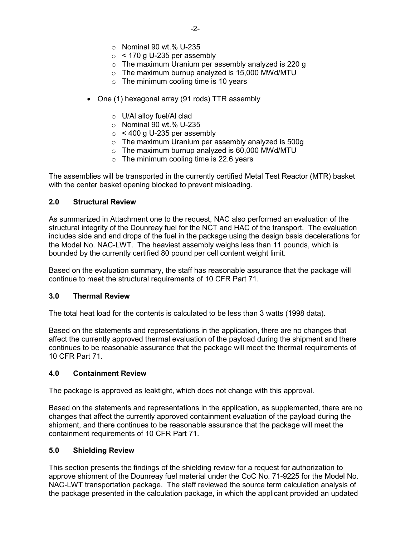- $\circ$  Nominal 90 wt.% U-235
- $\circ$  < 170 g U-235 per assembly
- o The maximum Uranium per assembly analyzed is 220 g
- $\circ$  The maximum burnup analyzed is 15,000 MWd/MTU
- $\circ$  The minimum cooling time is 10 years
- One (1) hexagonal array (91 rods) TTR assembly
	- o U/Al alloy fuel/Al clad
	- $\circ$  Nominal 90 wt.% U-235
	- $\circ$  < 400 g U-235 per assembly
	- o The maximum Uranium per assembly analyzed is 500g
	- $\circ$  The maximum burnup analyzed is 60,000 MWd/MTU
	- $\circ$  The minimum cooling time is 22.6 years

The assemblies will be transported in the currently certified Metal Test Reactor (MTR) basket with the center basket opening blocked to prevent misloading.

## **2.0 Structural Review**

As summarized in Attachment one to the request, NAC also performed an evaluation of the structural integrity of the Dounreay fuel for the NCT and HAC of the transport. The evaluation includes side and end drops of the fuel in the package using the design basis decelerations for the Model No. NAC-LWT. The heaviest assembly weighs less than 11 pounds, which is bounded by the currently certified 80 pound per cell content weight limit.

Based on the evaluation summary, the staff has reasonable assurance that the package will continue to meet the structural requirements of 10 CFR Part 71.

## **3.0 Thermal Review**

The total heat load for the contents is calculated to be less than 3 watts (1998 data).

Based on the statements and representations in the application, there are no changes that affect the currently approved thermal evaluation of the payload during the shipment and there continues to be reasonable assurance that the package will meet the thermal requirements of 10 CFR Part 71.

## **4.0 Containment Review**

The package is approved as leaktight, which does not change with this approval.

Based on the statements and representations in the application, as supplemented, there are no changes that affect the currently approved containment evaluation of the payload during the shipment, and there continues to be reasonable assurance that the package will meet the containment requirements of 10 CFR Part 71.

## **5.0 Shielding Review**

This section presents the findings of the shielding review for a request for authorization to approve shipment of the Dounreay fuel material under the CoC No. 71-9225 for the Model No. NAC-LWT transportation package. The staff reviewed the source term calculation analysis of the package presented in the calculation package, in which the applicant provided an updated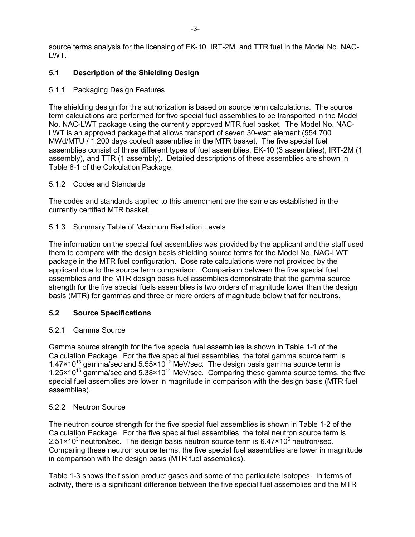source terms analysis for the licensing of EK-10, IRT-2M, and TTR fuel in the Model No. NAC-LWT.

# **5.1 Description of the Shielding Design**

5.1.1 Packaging Design Features

The shielding design for this authorization is based on source term calculations. The source term calculations are performed for five special fuel assemblies to be transported in the Model No. NAC-LWT package using the currently approved MTR fuel basket. The Model No. NAC-LWT is an approved package that allows transport of seven 30-watt element (554,700 MWd/MTU / 1,200 days cooled) assemblies in the MTR basket. The five special fuel assemblies consist of three different types of fuel assemblies, EK-10 (3 assemblies), IRT-2M (1 assembly), and TTR (1 assembly). Detailed descriptions of these assemblies are shown in Table 6-1 of the Calculation Package.

### 5.1.2 Codes and Standards

The codes and standards applied to this amendment are the same as established in the currently certified MTR basket.

### 5.1.3 Summary Table of Maximum Radiation Levels

The information on the special fuel assemblies was provided by the applicant and the staff used them to compare with the design basis shielding source terms for the Model No. NAC-LWT package in the MTR fuel configuration. Dose rate calculations were not provided by the applicant due to the source term comparison. Comparison between the five special fuel assemblies and the MTR design basis fuel assemblies demonstrate that the gamma source strength for the five special fuels assemblies is two orders of magnitude lower than the design basis (MTR) for gammas and three or more orders of magnitude below that for neutrons.

## **5.2 Source Specifications**

## 5.2.1 Gamma Source

Gamma source strength for the five special fuel assemblies is shown in Table 1-1 of the Calculation Package. For the five special fuel assemblies, the total gamma source term is  $1.47 \times 10^{13}$  gamma/sec and  $5.55 \times 10^{12}$  MeV/sec. The design basis gamma source term is 1.25 $\times$ 10<sup>15</sup> gamma/sec and 5.38 $\times$ 10<sup>14</sup> MeV/sec. Comparing these gamma source terms, the five special fuel assemblies are lower in magnitude in comparison with the design basis (MTR fuel assemblies).

## 5.2.2 Neutron Source

The neutron source strength for the five special fuel assemblies is shown in Table 1-2 of the Calculation Package. For the five special fuel assemblies, the total neutron source term is 2.51 $\times$ 10<sup>3</sup> neutron/sec. The design basis neutron source term is 6.47 $\times$ 10<sup>6</sup> neutron/sec. Comparing these neutron source terms, the five special fuel assemblies are lower in magnitude in comparison with the design basis (MTR fuel assemblies).

Table 1-3 shows the fission product gases and some of the particulate isotopes. In terms of activity, there is a significant difference between the five special fuel assemblies and the MTR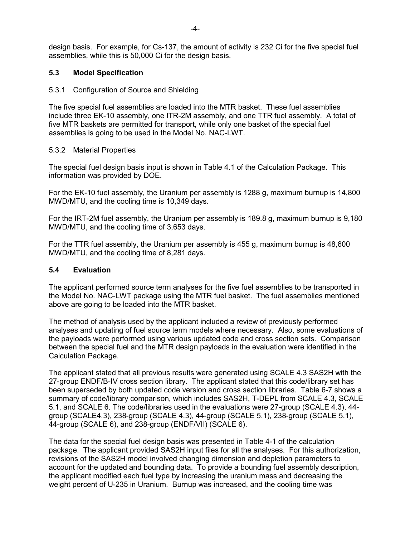design basis. For example, for Cs-137, the amount of activity is 232 Ci for the five special fuel assemblies, while this is 50,000 Ci for the design basis.

### **5.3 Model Specification**

#### 5.3.1 Configuration of Source and Shielding

The five special fuel assemblies are loaded into the MTR basket. These fuel assemblies include three EK-10 assembly, one ITR-2M assembly, and one TTR fuel assembly. A total of five MTR baskets are permitted for transport, while only one basket of the special fuel assemblies is going to be used in the Model No. NAC-LWT.

### 5.3.2 Material Properties

The special fuel design basis input is shown in Table 4.1 of the Calculation Package. This information was provided by DOE.

For the EK-10 fuel assembly, the Uranium per assembly is 1288 g, maximum burnup is 14,800 MWD/MTU, and the cooling time is 10,349 days.

For the IRT-2M fuel assembly, the Uranium per assembly is 189.8 g, maximum burnup is 9,180 MWD/MTU, and the cooling time of 3,653 days.

For the TTR fuel assembly, the Uranium per assembly is 455 g, maximum burnup is 48,600 MWD/MTU, and the cooling time of 8,281 days.

#### **5.4 Evaluation**

The applicant performed source term analyses for the five fuel assemblies to be transported in the Model No. NAC-LWT package using the MTR fuel basket. The fuel assemblies mentioned above are going to be loaded into the MTR basket.

The method of analysis used by the applicant included a review of previously performed analyses and updating of fuel source term models where necessary. Also, some evaluations of the payloads were performed using various updated code and cross section sets. Comparison between the special fuel and the MTR design payloads in the evaluation were identified in the Calculation Package.

The applicant stated that all previous results were generated using SCALE 4.3 SAS2H with the 27-group ENDF/B-IV cross section library. The applicant stated that this code/library set has been superseded by both updated code version and cross section libraries. Table 6-7 shows a summary of code/library comparison, which includes SAS2H, T-DEPL from SCALE 4.3, SCALE 5.1, and SCALE 6. The code/libraries used in the evaluations were 27-group (SCALE 4.3), 44 group (SCALE4.3), 238-group (SCALE 4.3), 44-group (SCALE 5.1), 238-group (SCALE 5.1), 44-group (SCALE 6), and 238-group (ENDF/VII) (SCALE 6).

The data for the special fuel design basis was presented in Table 4-1 of the calculation package. The applicant provided SAS2H input files for all the analyses. For this authorization, revisions of the SAS2H model involved changing dimension and depletion parameters to account for the updated and bounding data. To provide a bounding fuel assembly description, the applicant modified each fuel type by increasing the uranium mass and decreasing the weight percent of U-235 in Uranium. Burnup was increased, and the cooling time was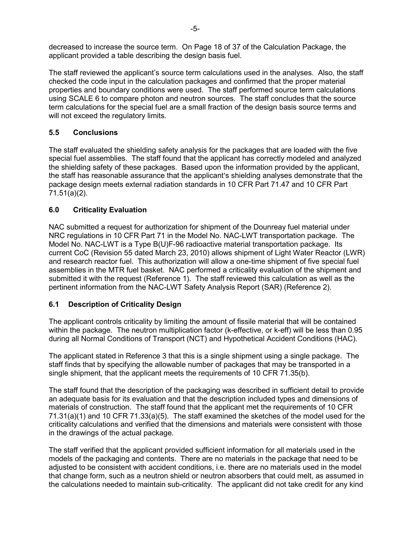decreased to increase the source term. On Page 18 of 37 of the Calculation Package, the applicant provided a table describing the design basis fuel.

The staff reviewed the applicant's source term calculations used in the analyses. Also, the staff checked the code input in the calculation packages and confirmed that the proper material properties and boundary conditions were used. The staff performed source term calculations using SCALE 6 to compare photon and neutron sources. The staff concludes that the source term calculations for the special fuel are a small fraction of the design basis source terms and will not exceed the regulatory limits.

# **5.5 Conclusions**

The staff evaluated the shielding safety analysis for the packages that are loaded with the five special fuel assemblies. The staff found that the applicant has correctly modeled and analyzed the shielding safety of these packages. Based upon the information provided by the applicant, the staff has reasonable assurance that the applicant's shielding analyses demonstrate that the package design meets external radiation standards in 10 CFR Part 71.47 and 10 CFR Part 71.51(a)(2).

## **6.0 Criticality Evaluation**

NAC submitted a request for authorization for shipment of the Dounreay fuel material under NRC regulations in 10 CFR Part 71 in the Model No. NAC-LWT transportation package. The Model No. NAC-LWT is a Type B(U)F-96 radioactive material transportation package. Its current CoC (Revision 55 dated March 23, 2010) allows shipment of Light Water Reactor (LWR) and research reactor fuel. This authorization will allow a one-time shipment of five special fuel assemblies in the MTR fuel basket. NAC performed a criticality evaluation of the shipment and submitted it with the request (Reference 1). The staff reviewed this calculation as well as the pertinent information from the NAC-LWT Safety Analysis Report (SAR) (Reference 2).

## **6.1 Description of Criticality Design**

The applicant controls criticality by limiting the amount of fissile material that will be contained within the package. The neutron multiplication factor (k-effective, or k-eff) will be less than 0.95 during all Normal Conditions of Transport (NCT) and Hypothetical Accident Conditions (HAC).

The applicant stated in Reference 3 that this is a single shipment using a single package. The staff finds that by specifying the allowable number of packages that may be transported in a single shipment, that the applicant meets the requirements of 10 CFR 71.35(b).

The staff found that the description of the packaging was described in sufficient detail to provide an adequate basis for its evaluation and that the description included types and dimensions of materials of construction. The staff found that the applicant met the requirements of 10 CFR 71.31(a)(1) and 10 CFR 71.33(a)(5). The staff examined the sketches of the model used for the criticality calculations and verified that the dimensions and materials were consistent with those in the drawings of the actual package.

The staff verified that the applicant provided sufficient information for all materials used in the models of the packaging and contents. There are no materials in the package that need to be adjusted to be consistent with accident conditions, i.e. there are no materials used in the model that change form, such as a neutron shield or neutron absorbers that could melt, as assumed in the calculations needed to maintain sub-criticality. The applicant did not take credit for any kind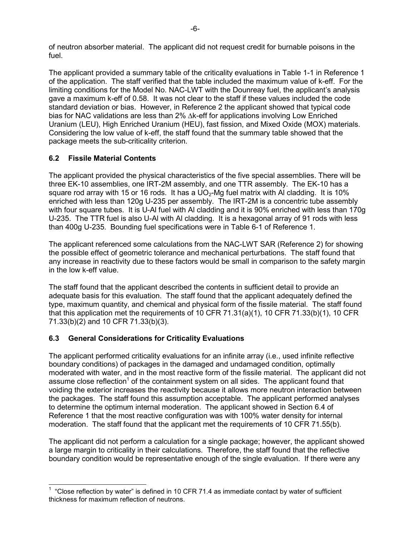of neutron absorber material. The applicant did not request credit for burnable poisons in the fuel.

The applicant provided a summary table of the criticality evaluations in Table 1-1 in Reference 1 of the application. The staff verified that the table included the maximum value of k-eff. For the limiting conditions for the Model No. NAC-LWT with the Dounreay fuel, the applicant's analysis gave a maximum k-eff of 0.58. It was not clear to the staff if these values included the code standard deviation or bias. However, in Reference 2 the applicant showed that typical code bias for NAC validations are less than 2% ∆k-eff for applications involving Low Enriched Uranium (LEU), High Enriched Uranium (HEU), fast fission, and Mixed Oxide (MOX) materials. Considering the low value of k-eff, the staff found that the summary table showed that the package meets the sub-criticality criterion.

# **6.2 Fissile Material Contents**

-

The applicant provided the physical characteristics of the five special assemblies. There will be three EK-10 assemblies, one IRT-2M assembly, and one TTR assembly. The EK-10 has a square rod array with 15 or 16 rods. It has a UO<sub>2</sub>-Mg fuel matrix with AI cladding. It is 10% enriched with less than 120g U-235 per assembly. The IRT-2M is a concentric tube assembly with four square tubes. It is U-Al fuel with Al cladding and it is 90% enriched with less than 170g U-235. The TTR fuel is also U-Al with Al cladding. It is a hexagonal array of 91 rods with less than 400g U-235. Bounding fuel specifications were in Table 6-1 of Reference 1.

The applicant referenced some calculations from the NAC-LWT SAR (Reference 2) for showing the possible effect of geometric tolerance and mechanical perturbations. The staff found that any increase in reactivity due to these factors would be small in comparison to the safety margin in the low k-eff value.

The staff found that the applicant described the contents in sufficient detail to provide an adequate basis for this evaluation. The staff found that the applicant adequately defined the type, maximum quantity, and chemical and physical form of the fissile material. The staff found that this application met the requirements of 10 CFR 71.31(a)(1), 10 CFR 71.33(b)(1), 10 CFR 71.33(b)(2) and 10 CFR 71.33(b)(3).

# **6.3 General Considerations for Criticality Evaluations**

The applicant performed criticality evaluations for an infinite array (i.e., used infinite reflective boundary conditions) of packages in the damaged and undamaged condition, optimally moderated with water, and in the most reactive form of the fissile material. The applicant did not assume close reflection<sup>1</sup> of the containment system on all sides. The applicant found that voiding the exterior increases the reactivity because it allows more neutron interaction between the packages. The staff found this assumption acceptable. The applicant performed analyses to determine the optimum internal moderation. The applicant showed in Section 6.4 of Reference 1 that the most reactive configuration was with 100% water density for internal moderation. The staff found that the applicant met the requirements of 10 CFR 71.55(b).

The applicant did not perform a calculation for a single package; however, the applicant showed a large margin to criticality in their calculations. Therefore, the staff found that the reflective boundary condition would be representative enough of the single evaluation. If there were any

 $1$  "Close reflection by water" is defined in 10 CFR 71.4 as immediate contact by water of sufficient thickness for maximum reflection of neutrons.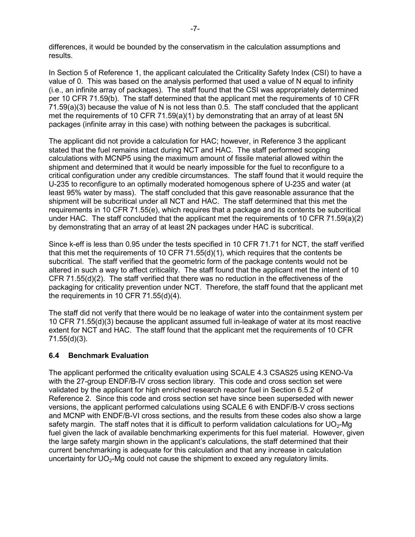differences, it would be bounded by the conservatism in the calculation assumptions and results.

In Section 5 of Reference 1, the applicant calculated the Criticality Safety Index (CSI) to have a value of 0. This was based on the analysis performed that used a value of N equal to infinity (i.e., an infinite array of packages). The staff found that the CSI was appropriately determined per 10 CFR 71.59(b). The staff determined that the applicant met the requirements of 10 CFR 71.59(a)(3) because the value of N is not less than 0.5. The staff concluded that the applicant met the requirements of 10 CFR 71.59(a)(1) by demonstrating that an array of at least 5N packages (infinite array in this case) with nothing between the packages is subcritical.

The applicant did not provide a calculation for HAC; however, in Reference 3 the applicant stated that the fuel remains intact during NCT and HAC. The staff performed scoping calculations with MCNP5 using the maximum amount of fissile material allowed within the shipment and determined that it would be nearly impossible for the fuel to reconfigure to a critical configuration under any credible circumstances. The staff found that it would require the U-235 to reconfigure to an optimally moderated homogenous sphere of U-235 and water (at least 95% water by mass). The staff concluded that this gave reasonable assurance that the shipment will be subcritical under all NCT and HAC. The staff determined that this met the requirements in 10 CFR 71.55(e), which requires that a package and its contents be subcritical under HAC. The staff concluded that the applicant met the requirements of 10 CFR 71.59(a)(2) by demonstrating that an array of at least 2N packages under HAC is subcritical.

Since k-eff is less than 0.95 under the tests specified in 10 CFR 71.71 for NCT, the staff verified that this met the requirements of 10 CFR 71.55(d)(1), which requires that the contents be subcritical. The staff verified that the geometric form of the package contents would not be altered in such a way to affect criticality. The staff found that the applicant met the intent of 10 CFR 71.55(d)(2). The staff verified that there was no reduction in the effectiveness of the packaging for criticality prevention under NCT. Therefore, the staff found that the applicant met the requirements in 10 CFR 71.55(d)(4).

The staff did not verify that there would be no leakage of water into the containment system per 10 CFR 71.55(d)(3) because the applicant assumed full in-leakage of water at its most reactive extent for NCT and HAC. The staff found that the applicant met the requirements of 10 CFR 71.55(d)(3).

## **6.4 Benchmark Evaluation**

The applicant performed the criticality evaluation using SCALE 4.3 CSAS25 using KENO-Va with the 27-group ENDF/B-IV cross section library. This code and cross section set were validated by the applicant for high enriched research reactor fuel in Section 6.5.2 of Reference 2. Since this code and cross section set have since been superseded with newer versions, the applicant performed calculations using SCALE 6 with ENDF/B-V cross sections and MCNP with ENDF/B-VI cross sections, and the results from these codes also show a large safety margin. The staff notes that it is difficult to perform validation calculations for  $UO<sub>2</sub>$ -Mg fuel given the lack of available benchmarking experiments for this fuel material. However, given the large safety margin shown in the applicant's calculations, the staff determined that their current benchmarking is adequate for this calculation and that any increase in calculation uncertainty for  $UO<sub>2</sub>$ -Mg could not cause the shipment to exceed any regulatory limits.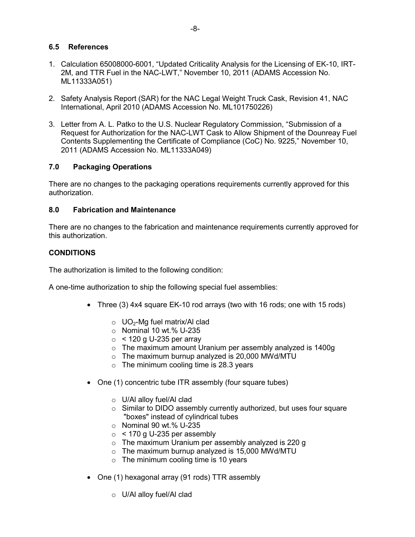## **6.5 References**

- 1. Calculation 65008000-6001, "Updated Criticality Analysis for the Licensing of EK-10, IRT-2M, and TTR Fuel in the NAC-LWT," November 10, 2011 (ADAMS Accession No. ML11333A051)
- 2. Safety Analysis Report (SAR) for the NAC Legal Weight Truck Cask, Revision 41, NAC International, April 2010 (ADAMS Accession No. ML101750226)
- 3. Letter from A. L. Patko to the U.S. Nuclear Regulatory Commission, "Submission of a Request for Authorization for the NAC-LWT Cask to Allow Shipment of the Dounreay Fuel Contents Supplementing the Certificate of Compliance (CoC) No. 9225," November 10, 2011 (ADAMS Accession No. ML11333A049)

# **7.0 Packaging Operations**

There are no changes to the packaging operations requirements currently approved for this authorization.

## **8.0 Fabrication and Maintenance**

There are no changes to the fabrication and maintenance requirements currently approved for this authorization.

## **CONDITIONS**

The authorization is limited to the following condition:

A one-time authorization to ship the following special fuel assemblies:

- Three (3) 4x4 square EK-10 rod arrays (two with 16 rods; one with 15 rods)
	- $\circ$  UO<sub>2</sub>-Mg fuel matrix/Al clad
	- $\circ$  Nominal 10 wt.% U-235
	- $\circ$  < 120 g U-235 per array
	- o The maximum amount Uranium per assembly analyzed is 1400g
	- $\circ$  The maximum burnup analyzed is 20,000 MWd/MTU
	- $\circ$  The minimum cooling time is 28.3 years
- One (1) concentric tube ITR assembly (four square tubes)
	- o U/Al alloy fuel/Al clad
	- o Similar to DIDO assembly currently authorized, but uses four square "boxes" instead of cylindrical tubes
	- o Nominal 90 wt.% U-235
	- $\circ$  < 170 g U-235 per assembly
	- o The maximum Uranium per assembly analyzed is 220 g
	- $\circ$  The maximum burnup analyzed is 15,000 MWd/MTU
	- $\circ$  The minimum cooling time is 10 years
- One (1) hexagonal array (91 rods) TTR assembly
	- o U/Al alloy fuel/Al clad